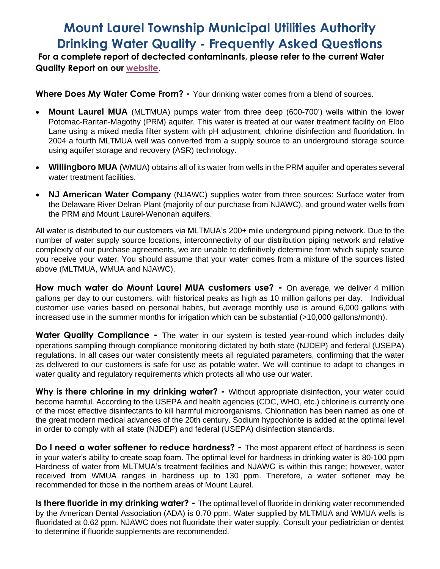## **Mount Laurel Township Municipal Utilities Authority Drinking Water Quality - Frequently Asked Questions**

**For a complete report of dectected contaminants, please refer to the current Water Quality Report on our [website](http://www.mltmua.com/ccr/MLTMUA_ccr.pdf)**.

**Where Does My Water Come From? -** Your drinking water comes from a blend of sources.

- **Mount Laurel MUA** (MLTMUA) pumps water from three deep (600-700') wells within the lower Potomac-Raritan-Magothy (PRM) aquifer. This water is treated at our water treatment facility on Elbo Lane using a mixed media filter system with pH adjustment, chlorine disinfection and fluoridation. In 2004 a fourth MLTMUA well was converted from a supply source to an underground storage source using aquifer storage and recovery (ASR) technology.
- **Willingboro MUA** (WMUA) obtains all of its water from wells in the PRM aquifer and operates several water treatment facilities.
- **NJ American Water Company** (NJAWC) supplies water from three sources: Surface water from the Delaware River Delran Plant (majority of our purchase from NJAWC), and ground water wells from the PRM and Mount Laurel-Wenonah aquifers.

All water is distributed to our customers via MLTMUA's 200+ mile underground piping network. Due to the number of water supply source locations, interconnectivity of our distribution piping network and relative complexity of our purchase agreements, we are unable to definitively determine from which supply source you receive your water. You should assume that your water comes from a mixture of the sources listed above (MLTMUA, WMUA and NJAWC).

**How much water do Mount Laurel MUA customers use? -** On average, we deliver 4 million gallons per day to our customers, with historical peaks as high as 10 million gallons per day. Individual customer use varies based on personal habits, but average monthly use is around 6,000 gallons with increased use in the summer months for irrigation which can be substantial (>10,000 gallons/month).

**Water Quality Compliance -** The water in our system is tested year-round which includes daily operations sampling through compliance monitoring dictated by both state (NJDEP) and federal (USEPA) regulations. In all cases our water consistently meets all regulated parameters, confirming that the water as delivered to our customers is safe for use as potable water. We will continue to adapt to changes in water quality and regulatory requirements which protects all who use our water.

**Why is there chlorine in my drinking water? -** Without appropriate disinfection, your water could become harmful. According to the USEPA and health agencies (CDC, WHO, etc.) chlorine is currently one of the most effective disinfectants to kill harmful microorganisms. Chlorination has been named as one of the great modern medical advances of the 20th century. Sodium hypochlorite is added at the optimal level in order to comply with all state (NJDEP) and federal (USEPA) disinfection standards.

**Do I need a water softener to reduce hardness? -** The most apparent effect of hardness is seen in your water's ability to create soap foam. The optimal level for hardness in drinking water is 80-100 ppm Hardness of water from MLTMUA's treatment facilities and NJAWC is within this range; however, water received from WMUA ranges in hardness up to 130 ppm. Therefore, a water softener may be recommended for those in the northern areas of Mount Laurel.

**Is there fluoride in my drinking water? -** The optimal level of fluoride in drinking water recommended by the American Dental Association (ADA) is 0.70 ppm. Water supplied by MLTMUA and WMUA wells is fluoridated at 0.62 ppm. NJAWC does not fluoridate their water supply. Consult your pediatrician or dentist to determine if fluoride supplements are recommended.